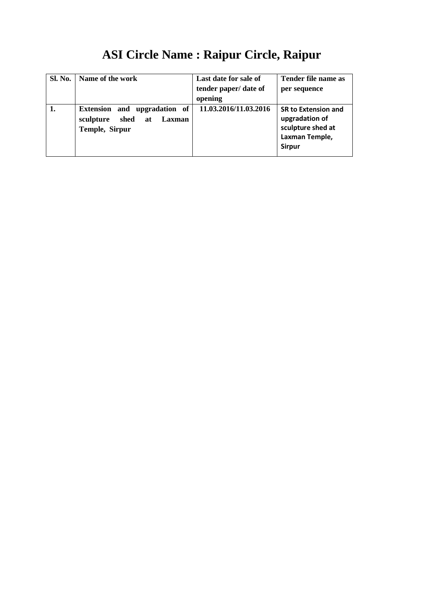# **ASI Circle Name : Raipur Circle, Raipur**

| <b>Sl. No.</b> | Name of the work                                                                         | Last date for sale of<br>tender paper/ date of<br>opening | Tender file name as<br>per sequence                                                                  |
|----------------|------------------------------------------------------------------------------------------|-----------------------------------------------------------|------------------------------------------------------------------------------------------------------|
|                | Extension and upgradation<br>- of<br>shed<br>sculpture<br>Laxman<br>at<br>Temple, Sirpur | 11.03.2016/11.03.2016                                     | <b>SR to Extension and</b><br>upgradation of<br>sculpture shed at<br>Laxman Temple,<br><b>Sirpur</b> |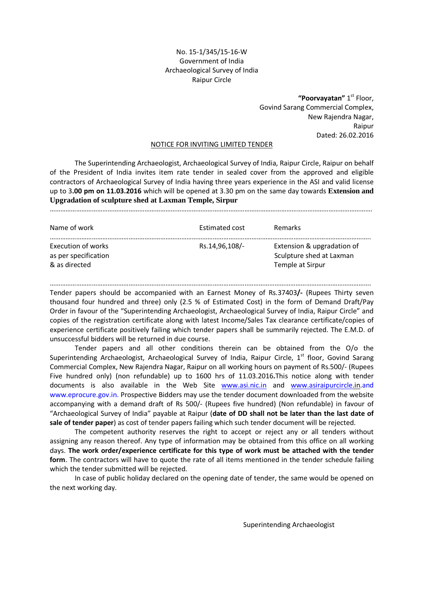# No. 15-1/345/15-16-W Government of India Archaeological Survey of India Raipur Circle

"Poorvayatan" 1st Floor, Govind Sarang Commercial Complex, New Rajendra Nagar, Raipur Dated: 26.02.2016

# NOTICE FOR INVITING LIMITED TENDER

 The Superintending Archaeologist, Archaeological Survey of India, Raipur Circle, Raipur on behalf of the President of India invites item rate tender in sealed cover from the approved and eligible contractors of Archaeological Survey of India having three years experience in the ASI and valid license up to 3.00 pm on 11.03.2016 which will be opened at 3.30 pm on the same day towards **Extension and Upgradation of sculpture shed at Laxman Temple, Sirpur**  ………………………………………………………………………………………………………………………………………………………………….

| Name of work                                                | <b>Estimated cost</b> | <b>Remarks</b>                                                             |
|-------------------------------------------------------------|-----------------------|----------------------------------------------------------------------------|
| Execution of works<br>as per specification<br>& as directed | Rs.14,96,108/         | Extension & upgradation of<br>Sculpture shed at Laxman<br>Temple at Sirpur |

…………………………………………………………………………………………………..……………………………………………………………. Tender papers should be accompanied with an Earnest Money of Rs.37403/- (Rupees Thirty seven thousand four hundred and three) only (2.5 % of Estimated Cost) in the form of Demand Draft/Pay Order in favour of the "Superintending Archaeologist, Archaeological Survey of India, Raipur Circle" and copies of the registration certificate along with latest Income/Sales Tax clearance certificate/copies of experience certificate positively failing which tender papers shall be summarily rejected. The E.M.D. of unsuccessful bidders will be returned in due course.

 Tender papers and all other conditions therein can be obtained from the O/o the Superintending Archaeologist, Archaeological Survey of India, Raipur Circle, 1<sup>st</sup> floor, Govind Sarang Commercial Complex, New Rajendra Nagar, Raipur on all working hours on payment of Rs.500/- (Rupees Five hundred only) (non refundable) up to 1600 hrs of 11.03.2016.This notice along with tender documents is also available in the Web Site www.asi.nic.in and www.asiraipurcircle.in.and www.eprocure.gov.in. Prospective Bidders may use the tender document downloaded from the website accompanying with a demand draft of Rs 500/- (Rupees five hundred) (Non refundable) in favour of "Archaeological Survey of India" payable at Raipur (date of DD shall not be later than the last date of sale of tender paper) as cost of tender papers failing which such tender document will be rejected.

 The competent authority reserves the right to accept or reject any or all tenders without assigning any reason thereof. Any type of information may be obtained from this office on all working days. The work order/experience certificate for this type of work must be attached with the tender form. The contractors will have to quote the rate of all items mentioned in the tender schedule failing which the tender submitted will be rejected.

 In case of public holiday declared on the opening date of tender, the same would be opened on the next working day.

Superintending Archaeologist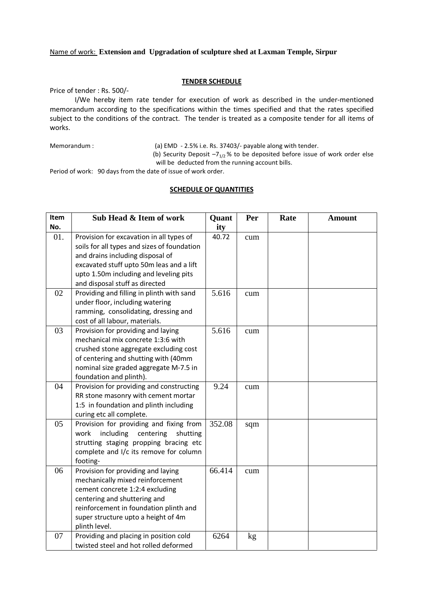### Name of work: **Extension and Upgradation of sculpture shed at Laxman Temple, Sirpur**

#### TENDER SCHEDULE

Price of tender : Rs. 500/-

 I/We hereby item rate tender for execution of work as described in the under-mentioned memorandum according to the specifications within the times specified and that the rates specified subject to the conditions of the contract. The tender is treated as a composite tender for all items of works.

Memorandum : (a) EMD - 2.5% i.e. Rs. 37403/- payable along with tender.

(b) Security Deposit  $-7_{1/2}$ % to be deposited before issue of work order else will be deducted from the running account bills.

Period of work: 90 days from the date of issue of work order.

#### SCHEDULE OF QUANTITIES

| Item | Sub Head & Item of work                                                                                                                                                                                                                             | Quant  | Per | Rate | <b>Amount</b> |
|------|-----------------------------------------------------------------------------------------------------------------------------------------------------------------------------------------------------------------------------------------------------|--------|-----|------|---------------|
| No.  |                                                                                                                                                                                                                                                     | ity    |     |      |               |
| 01.  | Provision for excavation in all types of<br>soils for all types and sizes of foundation<br>and drains including disposal of<br>excavated stuff upto 50m leas and a lift<br>upto 1.50m including and leveling pits<br>and disposal stuff as directed | 40.72  | cum |      |               |
| 02   | Providing and filling in plinth with sand<br>under floor, including watering<br>ramming, consolidating, dressing and<br>cost of all labour, materials.                                                                                              | 5.616  | cum |      |               |
| 03   | Provision for providing and laying<br>mechanical mix concrete 1:3:6 with<br>crushed stone aggregate excluding cost<br>of centering and shutting with (40mm<br>nominal size graded aggregate M-7.5 in<br>foundation and plinth).                     | 5.616  | cum |      |               |
| 04   | Provision for providing and constructing<br>RR stone masonry with cement mortar<br>1:5 in foundation and plinth including<br>curing etc all complete.                                                                                               | 9.24   | cum |      |               |
| 05   | Provision for providing and fixing from<br>including<br>work<br>centering<br>shutting<br>strutting staging propping bracing etc<br>complete and I/c its remove for column<br>footing-                                                               | 352.08 | sqm |      |               |
| 06   | Provision for providing and laying<br>mechanically mixed reinforcement<br>cement concrete 1:2:4 excluding<br>centering and shuttering and<br>reinforcement in foundation plinth and<br>super structure upto a height of 4m<br>plinth level.         | 66.414 | cum |      |               |
| 07   | Providing and placing in position cold<br>twisted steel and hot rolled deformed                                                                                                                                                                     | 6264   | kg  |      |               |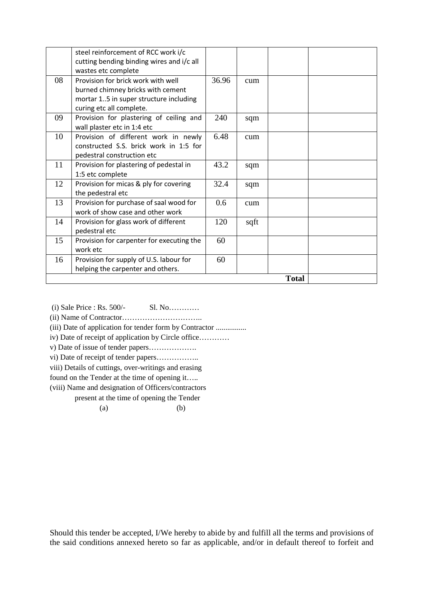|              | steel reinforcement of RCC work i/c<br>cutting bending binding wires and i/c all<br>wastes etc complete                                       |       |      |  |  |
|--------------|-----------------------------------------------------------------------------------------------------------------------------------------------|-------|------|--|--|
| 08           | Provision for brick work with well<br>burned chimney bricks with cement<br>mortar 15 in super structure including<br>curing etc all complete. | 36.96 | cum  |  |  |
| 09           | Provision for plastering of ceiling and<br>wall plaster etc in 1:4 etc                                                                        | 240   | sqm  |  |  |
| 10           | Provision of different work in newly<br>constructed S.S. brick work in 1:5 for<br>pedestral construction etc                                  | 6.48  | cum  |  |  |
| 11           | Provision for plastering of pedestal in<br>1:5 etc complete                                                                                   | 43.2  | sqm  |  |  |
| 12           | Provision for micas & ply for covering<br>the pedestral etc                                                                                   | 32.4  | sqm  |  |  |
| 13           | Provision for purchase of saal wood for<br>work of show case and other work                                                                   | 0.6   | cum  |  |  |
| 14           | Provision for glass work of different<br>pedestral etc                                                                                        | 120   | sqft |  |  |
| 15           | Provision for carpenter for executing the<br>work etc                                                                                         | 60    |      |  |  |
| 16           | Provision for supply of U.S. labour for<br>helping the carpenter and others.                                                                  | 60    |      |  |  |
| <b>Total</b> |                                                                                                                                               |       |      |  |  |

 (i) Sale Price : Rs. 500/- Sl. No………… (ii) Name of Contractor………………………….. (iii) Date of application for tender form by Contractor ................ iv) Date of receipt of application by Circle office………… v) Date of issue of tender papers………………. vi) Date of receipt of tender papers…………….. viii) Details of cuttings, over-writings and erasing found on the Tender at the time of opening it…..

(viii) Name and designation of Officers/contractors

present at the time of opening the Tender

 $(a)$  (b)

Should this tender be accepted, I/We hereby to abide by and fulfill all the terms and provisions of the said conditions annexed hereto so far as applicable, and/or in default thereof to forfeit and